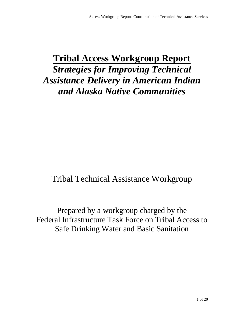# **Tribal Access Workgroup Report**  *Strategies for Improving Technical Assistance Delivery in American Indian and Alaska Native Communities*

## Tribal Technical Assistance Workgroup

Prepared by a workgroup charged by the Federal Infrastructure Task Force on Tribal Access to Safe Drinking Water and Basic Sanitation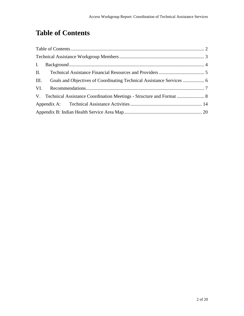## **Table of Contents**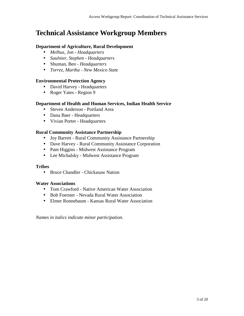## **Technical Assistance Workgroup Members**

#### **Department of Agriculture, Rural Development**

- *Melhus, Jon Headquarters*
- *Saulnier, Stephen Headquarters*
- Shuman, Ben *Headquarters*
- *Torrez, Martha New Mexico State*

#### **Environmental Protection Agency**

- David Harvey Headquarters
- Roger Yates Region 9

#### **Department of Health and Human Services, Indian Health Service**

- Steven Anderson Portland Area
- Dana Baer Headquarters
- Vivian Porter Headquarters

#### **Rural Community Assistance Partnership**

- Joy Barrett Rural Community Assistance Partnership
- Dave Harvey Rural Community Assistance Corporation
- Pam Higgins Midwest Assistance Program
- Lee Michalsky Midwest Assistance Program

#### **Tribes**

• Bruce Chandler - Chickasaw Nation

#### **Water Associations**

- Tom Crawford Native American Water Association
- Bob Foerster Nevada Rural Water Association
- Elmer Ronnebaum Kansas Rural Water Association

*Names in italics indicate minor participation.*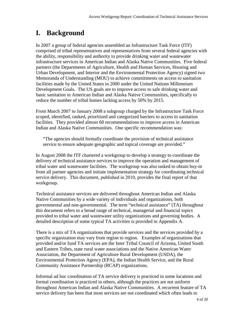## **I. Background**

In 2007 a group of federal agencies assembled an Infrastructure Task Force (ITF) comprised of tribal representatives and representatives from several federal agencies with the ability, responsibility and authority to provide drinking water and wastewater infrastructure services in American Indian and Alaska Native Communities. Five federal partners (the Departments of Agriculture, Health and Human Services, Housing and Urban Development, and Interior and the Environmental Protection Agency) signed two Memoranda of Understanding (MOU) to achieve commitments on access to sanitation facilities made by the United States in 2000 under the United Nations Millennium Development Goals. The US goals are to improve access to safe drinking water and basic sanitation in American Indian and Alaska Native Communities, specifically to reduce the number of tribal homes lacking access by 50% by 2015.

From March 2007 to January 2008 a subgroup charged by the Infrastructure Task Force scoped, identified, ranked, prioritized and categorized barriers to access to sanitation facilities. They provided almost 60 recommendations to improve access in American Indian and Alaska Native Communities. One specific recommendation was:

"The agencies should formally coordinate the provision of technical assistance service to ensure adequate geographic and topical coverage are provided."

In August 2008 the ITF chartered a workgroup to develop a strategy to coordinate the delivery of technical assistance services to improve the operation and management of tribal water and wastewater facilities. The workgroup was also tasked to obtain buy-in from all partner agencies and initiate implementation strategy for coordinating technical service delivery. This document, published in 2010, provides the final report of that workgroup.

Technical assistance services are delivered throughout American Indian and Alaska Native Communities by a wide variety of individuals and organizations, both governmental and non-governmental. The term "technical assistance" (TA) throughout this document refers to a broad range of technical, managerial and financial topics provided to tribal water and wastewater utility organizations and governing bodies. A detailed description of some typical TA activities is provided in Appendix A.

There is a mix of TA organizations that provide services and the services provided by a specific organization may vary from region to region. Examples of organizations that provided and/or fund TA services are the Inter Tribal Council of Arizona, United South and Eastern Tribes, state rural water associations and the Native American Water Association, the Department of Agriculture Rural Development (USDA), the Environmental Protection Agency (EPA), the Indian Health Service, and the Rural Community Assistance Partnership (RCAP) organizations.

Informal ad hoc coordination of TA service delivery is practiced in some locations and formal coordination is practiced in others, although the practices are not uniform throughout American Indian and Alaska Native Communities. A recurrent feature of TA service delivery has been that most services are not coordinated which often leads to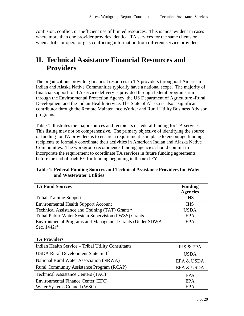confusion, conflict, or inefficient use of limited resources. This is most evident in cases where more than one provider provides identical TA services for the same clients or when a tribe or operator gets conflicting information from different service providers.

### **II. Technical Assistance Financial Resources and Providers**

The organizations providing financial resources to TA providers throughout American Indian and Alaska Native Communities typically have a national scope. The majority of financial support for TA service delivery is provided through federal programs run through the Environmental Protection Agency, the US Department of Agriculture -Rural Development and the Indian Health Service. The State of Alaska is also a significant contributor through the Remote Maintenance Worker and Rural Utility Business Advisor programs.

Table 1 illustrates the major sources and recipients of federal funding for TA services. This listing may not be comprehensive. The primary objective of identifying the source of funding for TA providers is to ensure a requirement is in place to encourage funding recipients to formally coordinate their activities in American Indian and Alaska Native Communities. The workgroup recommends funding agencies should commit to incorporate the requirement to coordinate TA services in future funding agreements before the end of each FY for funding beginning in the next FY.

| Table 1: Federal Funding Sources and Technical Assistance Providers for Water |  |
|-------------------------------------------------------------------------------|--|
| and Wastewater Utilities                                                      |  |

| <b>TA Fund Sources</b>                                    | <b>Funding</b>  |
|-----------------------------------------------------------|-----------------|
|                                                           | <b>Agencies</b> |
| <b>Tribal Training Support</b>                            | <b>IHS</b>      |
| <b>Environmental Health Support Account</b>               | <b>IHS</b>      |
| Technical Assistance and Training (TAT) Grants*           | <b>USDA</b>     |
| Tribal Public Water System Supervision (PWSS) Grants      | <b>EPA</b>      |
| Environmental Programs and Management Grants (Under SDWA) | <b>EPA</b>      |
| Sec. $1442$ <sup>*</sup>                                  |                 |

| <b>TA Providers</b>                                |                      |
|----------------------------------------------------|----------------------|
| Indian Health Service – Tribal Utility Consultants | <b>IHS &amp; EPA</b> |
| <b>USDA Rural Development State Staff</b>          | <b>USDA</b>          |
| National Rural Water Association (NRWA)            | EPA & USDA           |
| <b>Rural Community Assistance Program (RCAP)</b>   | EPA & USDA           |
| <b>Technical Assistance Centers (TAC)</b>          | EPA                  |
| <b>Environmental Finance Center (EFC)</b>          | <b>EPA</b>           |
| Water Systems Council (WSC)                        | EPA                  |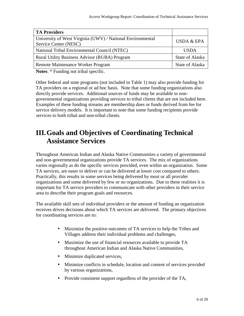| <b>TA Providers</b>                                                                 |                        |
|-------------------------------------------------------------------------------------|------------------------|
| University of West Virginia (UWV) / National Environmental<br>Service Center (NESC) | <b>USDA &amp; EPA</b>  |
| National Tribal Environmental Council (NTEC)                                        | <b>USDA</b>            |
| <b>Rural Utility Business Advisor (RUBA) Program</b>                                | <b>State of Alaska</b> |
| Remote Maintenance Worker Program                                                   | <b>State of Alaska</b> |

**Notes**: \* Funding not tribal specific.

Other federal and state programs (not included in Table 1) may also provide funding for TA providers on a regional or ad hoc basis. Note that some funding organizations also directly provide services. Additional sources of funds may be available to nongovernmental organizations providing services to tribal clients that are not included here. Examples of these funding streams are membership dues or funds derived from fee for service delivery models. It is important to note that some funding recipients provide services to both tribal and non-tribal clients.

## **III.Goals and Objectives of Coordinating Technical Assistance Services**

Throughout American Indian and Alaska Native Communities a variety of governmental and non-governmental organizations provide TA services. The mix of organizations varies regionally as do the specific services provided, even within an organization. Some TA services, are easer to deliver or can be delivered at lower cost compared to others. Practically, this results in some services being delivered by most or all provider organizations and some delivered by few or no organizations. Due to these realities it is important for TA service providers to communicate with other providers in their service area to describe their program goals and resources.

The available skill sets of individual providers or the amount of funding an organization receives drives decisions about which TA services are delivered. The primary objectives for coordinating services are to:

- Maximize the positive outcomes of TA services to help the Tribes and Villages address their individual problems and challenges,
- Maximize the use of financial resources available to provide TA throughout American Indian and Alaska Native Communities,
- Minimize duplicated services,
- Minimize conflicts in schedule, location and content of services provided by various organizations,
- Provide consistent support regardless of the provider of the TA,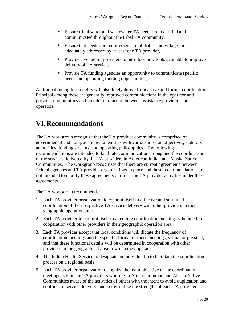- Ensure tribal water and wastewater TA needs are identified and communicated throughout the tribal TA community,
- Ensure that needs and requirements of all tribes and villages are adequately addressed by at least one TA provider,
- Provide a venue for providers to introduce new tools available to improve delivery of TA services,
- Provide TA funding agencies an opportunity to communicate specific needs and upcoming funding opportunities,

Additional intangible benefits will also likely derive from active and formal coordination. Principal among these are generally improved communications in the operator and provider communities and broader interaction between assistance providers and operators.

## **VI. Recommendations**

The TA workgroup recognize that the TA provider community is comprised of governmental and non-governmental entities with various mission objectives, statutory authorities, funding streams, and operating philosophies. The following recommendations are intended to facilitate communication among and the coordination of the services delivered by the TA providers in American Indian and Alaska Native Communities. The workgroup recognizes that there are current agreements between federal agencies and TA provider organizations in place and these recommendations are not intended to modify these agreements or direct the TA provider activities under these agreements.

The TA workgroup recommends:

- 1. Each TA provider organization to commit itself to effective and sustained coordination of their respective TA service delivery with other providers in their geographic operation area.
- 2. Each TA provider to commit itself to attending coordination meetings scheduled in cooperation with other providers in their geographic operation area.
- 3. Each TA provider accept that local conditions will dictate the frequency of coordination meetings and the specific format of those meetings, virtual or physical, and that these functional details will be determined in cooperation with other providers in the geographical area in which they operate.
- 4. The Indian Health Service to designate an individual(s) to facilitate the coordination process on a regional basis.
- 5. Each TA provider organization recognize the main objective of the coordination meetings is to make TA providers working in American Indian and Alaska Native Communities aware of the activities of others with the intent to avoid duplication and conflicts of service delivery, and better utilize the strengths of each TA provider.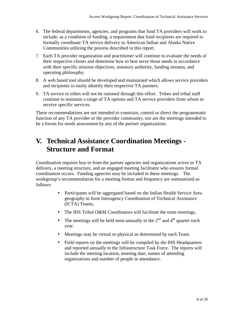- 6. The federal departments, agencies, and programs that fund TA providers will work to include, as a condition of funding, a requirement that fund recipients are required to formally coordinate TA service delivery in American Indian and Alaska Native Communities utilizing the process described in this report.
- 7. Each TA provider organization and practitioner will continue to evaluate the needs of their respective clients and determine how to best serve those needs in accordance with their specific mission objectives, statutory authority, funding streams, and operating philosophy.
- 8. A web based tool should be developed and maintained which allows service providers and recipients to easily identify their respective TA partners.
- 9. TA service to tribes will not be rationed through this effort. Tribes and tribal staff continue to maintain a range of TA options and TA service providers from whom to receive specific services.

These recommendations are not intended to constrain, control or direct the programmatic function of any TA provider or the provider community, nor are the meetings intended to be a forum for needs assessment by any of the partner organizations.

## **V. Technical Assistance Coordination Meetings Structure and Format**

Coordination requires buy-in from the partner agencies and organizations active in TA delivery, a meeting structure, and an engaged meeting facilitator who ensures formal coordination occurs. Funding agencies may be included in these meetings. The workgroup's recommendation for a meeting format and frequency are summarized as follows:

- Participants will be aggregated based on the Indian Health Service Area geography to form Interagency Coordination of Technical Assistance (ICTA) Teams,
- The IHS Tribal O&M Coordinators will facilitate the team meetings,
- The meetings will be held semi-annually in the  $2<sup>nd</sup>$  and  $4<sup>th</sup>$  quarter each year.
- Meetings may be virtual or physical as determined by each Team.
- Field reports on the meetings will be compiled by the IHS Headquarters and reported annually to the Infrastructure Task Force. The reports will include the meeting location, meeting date, names of attending organizations and number of people in attendance.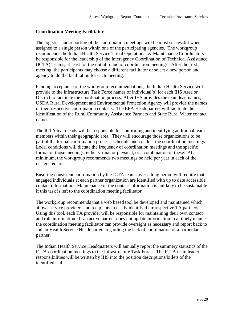#### **Coordination Meeting Facilitator**

The logistics and reporting of the coordination meetings will be most successful when assigned to a single person within one of the participating agencies. The workgroup recommends the Indian Health Service Tribal Operational & Maintenance Coordinators be responsible for the leadership of the Interagency Coordination of Technical Assistance (ICTA) Teams, at least for the initial round of coordination meetings. After the first meeting, the participants may choose a different facilitator or select a new person and agency to do the facilitation for each meeting.

Pending acceptance of the workgroup recommendations, the Indian Health Service will provide to the Infrastructure Task Force names of individual(s) for each IHS Area or District to facilitate the coordination process. After IHS provides the team lead names, USDA Rural Development and Environmental Protection Agency will provide the names of their respective coordination contacts. The EPA Headquarters will facilitate the identification of the Rural Community Assistance Partners and State Rural Water contact names.

The ICTA team leads will be responsible for confirming and identifying additional team members within their geographic area. They will encourage those organizations to be part of the formal coordination process, schedule and conduct the coordination meetings. Local conditions will dictate the frequency of coordination meetings and the specific format of those meetings, either virtual or physical, or a combination of these. At a minimum, the workgroup recommends two meetings be held per year in each of the designated areas.

Ensuring consistent coordination by the ICTA teams over a long period will require that engaged individuals at each partner organization are identified with up to date accessible contact information. Maintenance of the contact information is unlikely to be sustainable if this task is left to the coordination meeting facilitator.

The workgroup recommends that a web based tool be developed and maintained which allows service providers and recipients to easily identify their respective TA partners. Using this tool, each TA provider will be responsible for maintaining their own contact and role information. If an active partner does not update information in a timely manner the coordination meeting facilitator can provide oversight as necessary and report back to Indian Health Service Headquarters regarding the lack of coordination of a particular partner.

The Indian Health Service Headquarters will annually report the summery statistics of the ICTA coordination meetings to the Infrastructure Task Force. The ICTA team leader responsibilities will be written by IHS into the position descriptions/billets of the identified staff.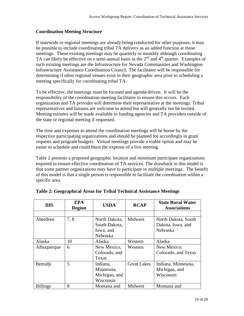#### **Coordination Meeting Structure**

If statewide or regional meetings are already being conducted for other purposes, it may be possible to include coordinating tribal TA delivery as an added function at those meetings. These existing meetings may be quarterly or monthly although coordinating TA can likely be effective on a semi-annual basis in the  $2<sup>nd</sup>$  and  $4<sup>th</sup>$  quarter. Examples of such existing meetings are the Infrastructure for Nevada Communities and Washington Infrastructure Assistance Coordination Council. The facilitator will be responsible for determining if other regional venues exist in their geographic area prior to scheduling a meeting specifically for coordinating tribal TA.

To be effective, the meetings must be focused and agenda-driven. It will be the responsibility of the coordination meeting facilitator to ensure this occurs. Each organization and TA provider will determine their representative at the meetings. Tribal representatives and liaisons are welcome to attend but will generally not be invited. Meeting minutes will be made available to funding agencies and TA providers outside of the state or regional meeting if requested.

The time and expenses to attend the coordination meetings will be borne by the respective participating organizations and should be planned for accordingly in grant requests and program budgets. Virtual meetings provide a viable option and may be easier to schedule and could blunt the expense of a live meeting.

Table 2 presents a proposed geographic location and minimum participant organizations required to ensure effective coordination of TA services. The drawback to this model is that some partner organizations may have to participate in multiple meetings. The benefit of this model is that a single person is responsible to facilitate the coordination within a specific area.

| <b>IHS</b>      | <b>EPA</b><br><b>Region</b> | <b>USDA</b>   | <b>RCAP</b>        | <b>State Rural Water</b><br><b>Associations</b> |
|-----------------|-----------------------------|---------------|--------------------|-------------------------------------------------|
|                 |                             |               |                    |                                                 |
| Aberdeen        | 7,8                         | North Dakota, | Midwest            | North Dakota, South                             |
|                 |                             | South Dakota, |                    | Dakota, Iowa, and                               |
|                 |                             | Iowa, and     |                    | Nebraska                                        |
|                 |                             | Nebraska      |                    |                                                 |
| Alaska          | 10                          | Alaska        | Western            | Alaska                                          |
| Albuquerque     | 6                           | New Mexico,   | Western            | New Mexico,                                     |
|                 |                             | Colorado, and |                    | Colorado, and Texas                             |
|                 |                             | Texas         |                    |                                                 |
| Bemidji         | 5                           | Indiana,      | <b>Great Lakes</b> | Indiana, Minnesota,                             |
|                 |                             | Minnesota,    |                    | Michigan, and                                   |
|                 |                             | Michigan, and |                    | Wisconsin                                       |
|                 |                             | Wisconsin     |                    |                                                 |
| <b>Billings</b> | 8                           | Montana and   | Midwest            | Montana and                                     |

#### **Table 2: Geographical Areas for Tribal Technical Assistance Meetings**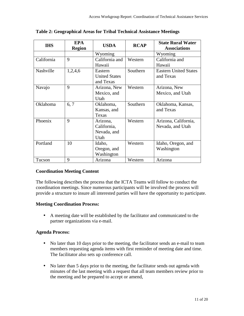| <b>IHS</b> | <b>EPA</b><br><b>Region</b> | <b>USDA</b>          | <b>RCAP</b> | <b>State Rural Water</b>     |
|------------|-----------------------------|----------------------|-------------|------------------------------|
|            |                             |                      |             | <b>Associations</b>          |
|            |                             | Wyoming              |             | Wyoming                      |
| California | 9                           | California and       | Western     | California and               |
|            |                             | Hawaii               |             | Hawaii                       |
| Nashville  | 1,2,4,6                     | Eastern              | Southern    | <b>Eastern United States</b> |
|            |                             | <b>United States</b> |             | and Texas                    |
|            |                             | and Texas            |             |                              |
| Navajo     | 9                           | Arizona, New         | Western     | Arizona, New                 |
|            |                             | Mexico, and          |             | Mexico, and Utah             |
|            |                             | Utah                 |             |                              |
| Oklahoma   | 6, 7                        | Oklahoma,            | Southern    | Oklahoma, Kansas,            |
|            |                             | Kansas, and          |             | and Texas                    |
|            |                             | Texas                |             |                              |
| Phoenix    | 9                           | Arizona,             | Western     | Arizona, California,         |
|            |                             | California,          |             | Nevada, and Utah             |
|            |                             | Nevada, and          |             |                              |
|            |                             | Utah                 |             |                              |
| Portland   | 10                          | Idaho,               | Western     | Idaho, Oregon, and           |
|            |                             | Oregon, and          |             | Washington                   |
|            |                             | Washington           |             |                              |
| Tucson     | 9                           | Arizona              | Western     | Arizona                      |

**Table 2: Geographical Areas for Tribal Technical Assistance Meetings** 

#### **Coordination Meeting Content**

The following describes the process that the ICTA Teams will follow to conduct the coordination meetings. Since numerous participants will be involved the process will provide a structure to insure all interested parties will have the opportunity to participate.

#### **Meeting Coordination Process:**

• A meeting date will be established by the facilitator and communicated to the partner organizations via e-mail.

#### **Agenda Process:**

- No later than 10 days prior to the meeting, the facilitator sends an e-mail to team members requesting agenda items with first reminder of meeting date and time. The facilitator also sets up conference call.
- No later than 5 days prior to the meeting, the facilitator sends out agenda with minutes of the last meeting with a request that all team members review prior to the meeting and be prepared to accept or amend,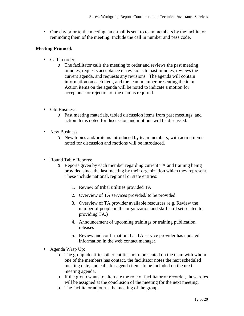• One day prior to the meeting, an e-mail is sent to team members by the facilitator reminding them of the meeting. Include the call in number and pass code.

#### **Meeting Protocol:**

- Call to order:
	- o The facilitator calls the meeting to order and reviews the past meeting minutes, requests acceptance or revisions to past minutes, reviews the current agenda, and requests any revisions. The agenda will contain information on each item, and the team member presenting the item. Action items on the agenda will be noted to indicate a motion for acceptance or rejection of the team is required.
- Old Business:
	- o Past meeting materials, tabled discussion items from past meetings, and action items noted for discussion and motions will be discussed.
- New Business:
	- o New topics and/or items introduced by team members, with action items noted for discussion and motions will be introduced.
- Round Table Reports:
	- o Reports given by each member regarding current TA and training being provided since the last meeting by their organization which they represent. These include national, regional or state entities:
		- 1. Review of tribal utilities provided TA
		- 2. Overview of TA services provided/ to be provided
		- 3. Overview of TA provider available resources (e.g. Review the number of people in the organization and staff skill set related to providing TA.)
		- 4. Announcement of upcoming trainings or training publication releases
		- 5. Review and confirmation that TA service provider has updated information in the web contact manager.
- Agenda Wrap Up:
	- o The group identifies other entities not represented on the team with whom one of the members has contact, the facilitator notes the next scheduled meeting date, and calls for agenda items to be included on the next meeting agenda.
	- o If the group wants to alternate the role of facilitator or recorder, those roles will be assigned at the conclusion of the meeting for the next meeting.
	- o The facilitator adjourns the meeting of the group.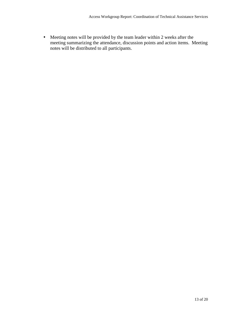• Meeting notes will be provided by the team leader within 2 weeks after the meeting summarizing the attendance, discussion points and action items. Meeting notes will be distributed to all participants.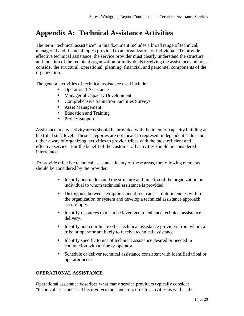## **Appendix A: Technical Assistance Activities**

The term "technical assistance" in this document includes a broad range of technical, managerial and financial topics provided to an organization or individual. To provide effective technical assistance, the service provider must clearly understand the structure and function of the recipient organization or individuals receiving the assistance and must consider the structural, operational, planning, financial, and personnel components of the organization.

The general activities of technical assistance used include:

- Operational Assistance
- Managerial Capacity Development
- Comprehensive Sanitation Facilities Surveys
- Asset Management
- Education and Training
- Project Support

Assistance in any activity areas should be provided with the intent of capacity building at the tribal staff level. These categories are not meant to represent independent "silos" but rather a way of organizing activities to provide tribes with the most efficient and effective service. For the benefit of the customer all activities should be considered interrelated.

To provide effective technical assistance in any of these areas, the following elements should be considered by the provider.

- Identify and understand the structure and function of the organization or individual to whom technical assistance is provided.
- Distinguish between symptoms and direct causes of deficiencies within the organization or system and develop a technical assistance approach accordingly.
- Identify resources that can be leveraged to enhance technical assistance delivery.
- Identify and coordinate other technical assistance providers from whom a tribe or operator are likely to receive technical assistance.
- Identify specific topics of technical assistance desired or needed in conjunction with a tribe or operator.
- Schedule or deliver technical assistance consistent with identified tribal or operator needs.

#### **OPERATIONAL ASSISTANCE**

Operational assistance describes what many service providers typically consider "technical assistance". This involves the hands-on, on-site activities as well as the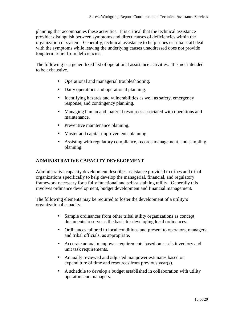planning that accompanies these activities. It is critical that the technical assistance provider distinguish between symptoms and direct causes of deficiencies within the organization or system. Generally, technical assistance to help tribes or tribal staff deal with the symptoms while leaving the underlying causes unaddressed does not provide long term relief from deficiencies.

The following is a generalized list of operational assistance activities. It is not intended to be exhaustive.

- Operational and managerial troubleshooting.
- Daily operations and operational planning.
- Identifying hazards and vulnerabilities as well as safety, emergency response, and contingency planning.
- Managing human and material resources associated with operations and maintenance.
- Preventive maintenance planning.
- Master and capital improvements planning.
- Assisting with regulatory compliance, records management, and sampling planning.

#### **ADMINISTRATIVE CAPACITY DEVELOPMENT**

Administrative capacity development describes assistance provided to tribes and tribal organizations specifically to help develop the managerial, financial, and regulatory framework necessary for a fully functional and self-sustaining utility. Generally this involves ordinance development, budget development and financial management.

The following elements may be required to foster the development of a utility's organizational capacity.

- Sample ordinances from other tribal utility organizations as concept documents to serve as the basis for developing local ordinances.
- Ordinances tailored to local conditions and present to operators, managers, and tribal officials, as appropriate.
- Accurate annual manpower requirements based on assets inventory and unit task requirements.
- Annually reviewed and adjusted manpower estimates based on expenditure of time and resources from previous year(s).
- A schedule to develop a budget established in collaboration with utility operators and managers.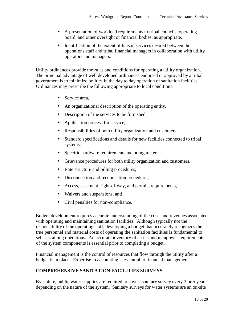- A presentation of workload requirements to tribal councils, operating board, and other oversight or financial bodies, as appropriate.
- Identification of the extent of liaison services desired between the operations staff and tribal financial managers in collaboration with utility operators and managers.

Utility ordinances provide the rules and conditions for operating a utility organization. The principal advantage of well developed ordinances endorsed or approved by a tribal government is to minimize politics in the day to day operation of sanitation facilities. Ordinances may prescribe the following appropriate to local conditions:

- Service area.
- An organizational description of the operating entity,
- Description of the services to be furnished,
- Application process for service,
- Responsibilities of both utility organization and customers,
- Standard specifications and details for new facilities connected to tribal systems,
- Specific hardware requirements including meters,
- Grievance procedures for both utility organization and customers,
- Rate structure and billing procedures,
- Disconnection and reconnection procedures,
- Access, easement, right-of-way, and permits requirements,
- Waivers and suspensions, and
- Civil penalties for non-compliance.

Budget development requires accurate understanding of the costs and revenues associated with operating and maintaining sanitation facilities. Although typically not the responsibility of the operating staff, developing a budget that accurately recognizes the true personnel and material costs of operating the sanitation facilities is fundamental to self-sustaining operations. An accurate inventory of assets and manpower requirements of the system components is essential prior to completing a budget.

Financial management is the control of resources that flow through the utility after a budget is in place. Expertise in accounting is essential to financial management.

#### **COMPREHENSIVE SANITATION FACILITIES SURVEYS**

By statute, public water supplies are required to have a sanitary survey every 3 or 5 years depending on the nature of the system. Sanitary surveys for water systems are an on-site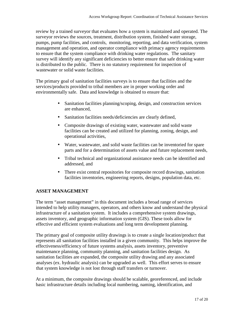review by a trained surveyor that evaluates how a system is maintained and operated. The surveyor reviews the sources, treatment, distribution system, finished water storage, pumps, pump facilities, and controls, monitoring, reporting, and data verification, system management and operation, and operator compliance with primacy agency requirements to ensure that the system compliance with drinking water regulations. The sanitary survey will identify any significant deficiencies to better ensure that safe drinking water is distributed to the public. There is no statutory requirement for inspection of wastewater or solid waste facilities.

The primary goal of sanitation facilities surveys is to ensure that facilities and the services/products provided to tribal members are in proper working order and environmentally safe. Data and knowledge is obtained to ensure that:

- Sanitation facilities planning/scoping, design, and construction services are enhanced,
- Sanitation facilities needs/deficiencies are clearly defined,
- Composite drawings of existing water, wastewater and solid waste facilities can be created and utilized for planning, zoning, design, and operational activities,
- Water, wastewater, and solid waste facilities can be inventoried for spare parts and for a determination of assets value and future replacement needs,
- Tribal technical and organizational assistance needs can be identified and addressed, and
- There exist central repositories for composite record drawings, sanitation facilities inventories, engineering reports, designs, population data, etc.

#### **ASSET MANAGEMENT**

The term "asset management" in this document includes a broad range of services intended to help utility managers, operators, and others know and understand the physical infrastructure of a sanitation system. It includes a comprehensive system drawings, assets inventory, and geographic information system (GIS). These tools allow for effective and efficient system evaluations and long term development planning.

The primary goal of composite utility drawings is to create a single location/product that represents all sanitation facilities installed in a given community. This helps improve the effectiveness/efficiency of future systems analysis, assets inventory, preventive maintenance planning, community planning, and sanitation facilities design. As sanitation facilities are expanded, the composite utility drawing and any associated analyses (ex. hydraulic analysis) can be upgraded as well. This effort serves to ensure that system knowledge is not lost through staff transfers or turnover.

At a minimum, the composite drawings should be scalable, georeferenced, and include basic infrastructure details including local numbering, naming, identification, and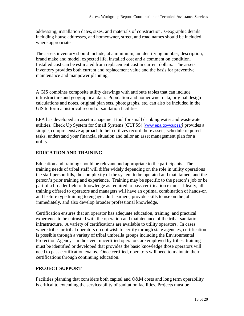addressing, installation dates, sizes, and materials of construction. Geographic details including house addresses, and homeowner, street, and road names should be included where appropriate.

The assets inventory should include, at a minimum, an identifying number, description, brand make and model, expected life, installed cost and a comment on condition. Installed cost can be estimated from replacement cost in current dollars. The assets inventory provides both current and replacement value and the basis for preventive maintenance and manpower planning.

A GIS combines composite utility drawings with attribute tables that can include infrastructure and geographical data. Population and homeowner data, original design calculations and notes, original plan sets, photographs, etc. can also be included in the GIS to form a historical record of sanitation facilities.

EPA has developed an asset management tool for small drinking water and wastewater utilities. Check Up System for Small Systems (CUPSS) (www.epa.gov/cupss/) provides a simple, comprehensive approach to help utilizes record there assets, schedule required tasks, understand your financial situation and tailor an asset management plan for a utility.

#### **EDUCATION AND TRAINING**

Education and training should be relevant and appropriate to the participants. The training needs of tribal staff will differ widely depending on the role in utility operations the staff person fills, the complexity of the system to be operated and maintained, and the person's prior training and experience. Training may be specific to the person's job or be part of a broader field of knowledge as required to pass certification exams. Ideally, all training offered to operators and managers will have an optimal combination of hands-on and lecture type training to engage adult learners, provide skills to use on the job immediately, and also develop broader professional knowledge.

Certification ensures that an operator has adequate education, training, and practical experience to be entrusted with the operation and maintenance of the tribal sanitation infrastructure. A variety of certifications are available to utility operators. In cases where tribes or tribal operators do not wish to certify through state agencies, certification is possible through a variety of tribal umbrella groups including the Environmental Protection Agency. In the event uncertified operators are employed by tribes, training must be identified or developed that provides the basic knowledge those operators will need to pass certification exams. Once certified, operators will need to maintain their certifications through continuing education.

#### **PROJECT SUPPORT**

Facilities planning that considers both capital and O&M costs and long term operability is critical to extending the serviceability of sanitation facilities. Projects must be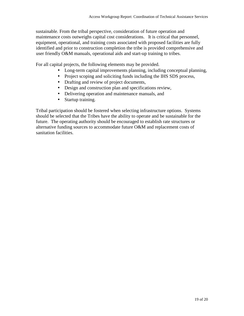sustainable. From the tribal perspective, consideration of future operation and maintenance costs outweighs capital cost considerations. It is critical that personnel, equipment, operational, and training costs associated with proposed facilities are fully identified and prior to construction completion the tribe is provided comprehensive and user friendly O&M manuals, operational aids and start-up training to tribes.

For all capital projects, the following elements may be provided.

- Long-term capital improvements planning, including conceptual planning,
- Project scoping and soliciting funds including the IHS SDS process,
- Drafting and review of project documents,
- Design and construction plan and specifications review,
- Delivering operation and maintenance manuals, and
- Startup training.

Tribal participation should be fostered when selecting infrastructure options. Systems should be selected that the Tribes have the ability to operate and be sustainable for the future. The operating authority should be encouraged to establish rate structures or alternative funding sources to accommodate future O&M and replacement costs of sanitation facilities.